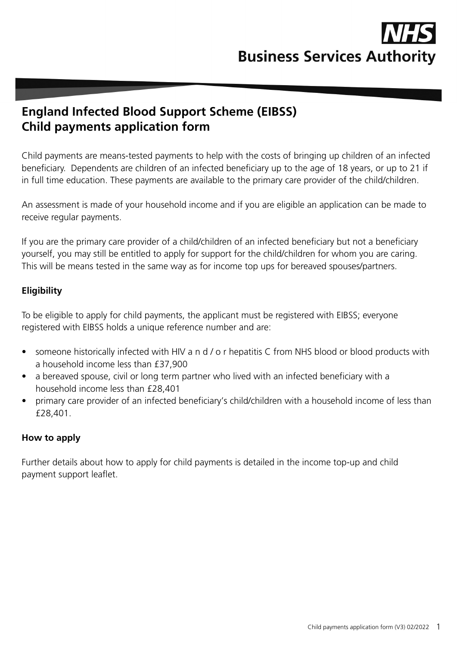

# **England Infected Blood Support Scheme (EIBSS) Child payments application form**

Child payments are means-tested payments to help with the costs of bringing up children of an infected beneficiary. Dependents are children of an infected beneficiary up to the age of 18 years, or up to 21 if in full time education. These payments are available to the primary care provider of the child/children.

An assessment is made of your household income and if you are eligible an application can be made to receive regular payments.

If you are the primary care provider of a child/children of an infected beneficiary but not a beneficiary yourself, you may still be entitled to apply for support for the child/children for whom you are caring. This will be means tested in the same way as for income top ups for bereaved spouses/partners.

## **Eligibility**

To be eligible to apply for child payments, the applicant must be registered with EIBSS; everyone registered with EIBSS holds a unique reference number and are:

- someone historically infected with HIV a n d / o r hepatitis C from NHS blood or blood products with a household income less than £37,900
- a bereaved spouse, civil or long term partner who lived with an infected beneficiary with a household income less than £28,401
- primary care provider of an infected beneficiary's child/children with a household income of less than £28,401.

#### **How to apply**

Further details about how to apply for child payments is detailed in the income top-up and child payment support leaflet.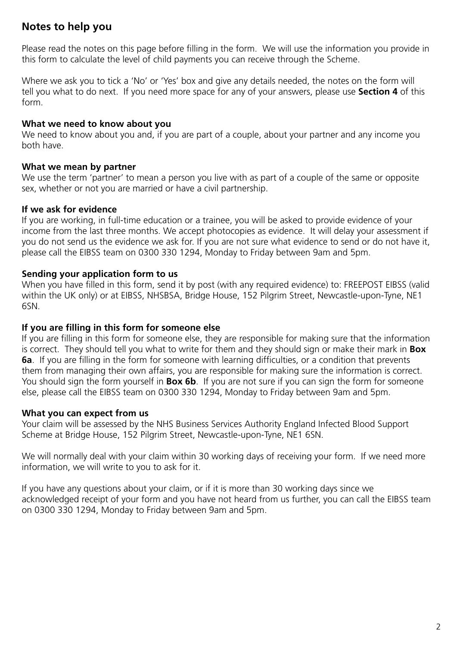## **Notes to help you**

Please read the notes on this page before filling in the form. We will use the information you provide in this form to calculate the level of child payments you can receive through the Scheme.

Where we ask you to tick a 'No' or 'Yes' box and give any details needed, the notes on the form will tell you what to do next. If you need more space for any of your answers, please use **Section 4** of this form.

#### **What we need to know about you**

We need to know about you and, if you are part of a couple, about your partner and any income you both have.

#### **What we mean by partner**

We use the term 'partner' to mean a person you live with as part of a couple of the same or opposite sex, whether or not you are married or have a civil partnership.

#### **If we ask for evidence**

If you are working, in full-time education or a trainee, you will be asked to provide evidence of your income from the last three months. We accept photocopies as evidence. It will delay your assessment if you do not send us the evidence we ask for. If you are not sure what evidence to send or do not have it, please call the EIBSS team on 0300 330 1294, Monday to Friday between 9am and 5pm.

#### **Sending your application form to us**

When you have filled in this form, send it by post (with any required evidence) to: FREEPOST EIBSS (valid within the UK only) or at EIBSS, NHSBSA, Bridge House, 152 Pilgrim Street, Newcastle-upon-Tyne, NE1 6SN.

#### **If you are filling in this form for someone else**

If you are filling in this form for someone else, they are responsible for making sure that the information is correct. They should tell you what to write for them and they should sign or make their mark in **Box 6a**. If you are filling in the form for someone with learning difficulties, or a condition that prevents them from managing their own affairs, you are responsible for making sure the information is correct. You should sign the form yourself in **Box 6b**. If you are not sure if you can sign the form for someone else, please call the EIBSS team on 0300 330 1294, Monday to Friday between 9am and 5pm.

## **What you can expect from us**

Your claim will be assessed by the NHS Business Services Authority England Infected Blood Support Scheme at Bridge House, 152 Pilgrim Street, Newcastle-upon-Tyne, NE1 6SN.

We will normally deal with your claim within 30 working days of receiving your form. If we need more information, we will write to you to ask for it.

If you have any questions about your claim, or if it is more than 30 working days since we acknowledged receipt of your form and you have not heard from us further, you can call the EIBSS team on 0300 330 1294, Monday to Friday between 9am and 5pm.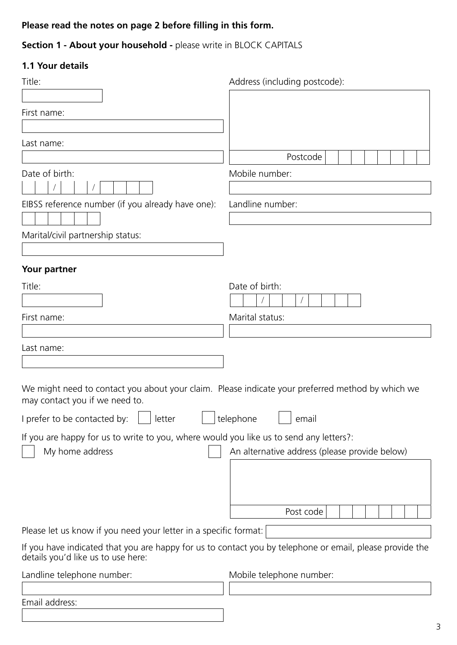## **Please read the notes on page 2 before filling in this form.**

## **Section 1 - About your household - please write in BLOCK CAPITALS**

## **1.1 Your details**

| Title:                                                                                                                                                      | Address (including postcode):                                                                            |
|-------------------------------------------------------------------------------------------------------------------------------------------------------------|----------------------------------------------------------------------------------------------------------|
|                                                                                                                                                             |                                                                                                          |
| First name:                                                                                                                                                 |                                                                                                          |
| Last name:                                                                                                                                                  |                                                                                                          |
|                                                                                                                                                             | Postcode                                                                                                 |
| Date of birth:                                                                                                                                              | Mobile number:                                                                                           |
| EIBSS reference number (if you already have one):                                                                                                           | Landline number:                                                                                         |
|                                                                                                                                                             |                                                                                                          |
| Marital/civil partnership status:                                                                                                                           |                                                                                                          |
|                                                                                                                                                             |                                                                                                          |
| Your partner                                                                                                                                                |                                                                                                          |
| Title:                                                                                                                                                      | Date of birth:                                                                                           |
|                                                                                                                                                             |                                                                                                          |
| First name:                                                                                                                                                 | Marital status:                                                                                          |
| Last name:                                                                                                                                                  |                                                                                                          |
|                                                                                                                                                             |                                                                                                          |
| We might need to contact you about your claim. Please indicate your preferred method by which we<br>may contact you if we need to.                          |                                                                                                          |
| I prefer to be contacted by: $\left  \begin{array}{ccc} \hline \end{array} \right $ letter $\left  \begin{array}{ccc} \hline \end{array} \right $ telephone | email                                                                                                    |
| If you are happy for us to write to you, where would you like us to send any letters?:                                                                      |                                                                                                          |
| My home address                                                                                                                                             | An alternative address (please provide below)                                                            |
|                                                                                                                                                             |                                                                                                          |
|                                                                                                                                                             |                                                                                                          |
|                                                                                                                                                             | Post code                                                                                                |
| Please let us know if you need your letter in a specific format:                                                                                            |                                                                                                          |
| details you'd like us to use here:                                                                                                                          | If you have indicated that you are happy for us to contact you by telephone or email, please provide the |
| Landline telephone number:                                                                                                                                  | Mobile telephone number:                                                                                 |
|                                                                                                                                                             |                                                                                                          |
| Email address:                                                                                                                                              |                                                                                                          |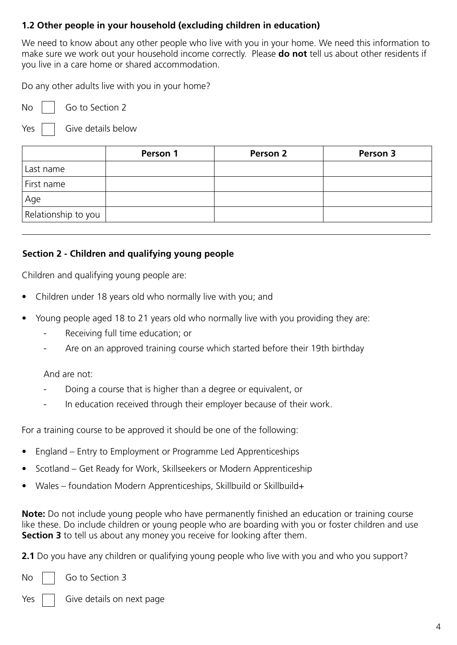## **1.2 Other people in your household (excluding children in education)**

We need to know about any other people who live with you in your home. We need this information to make sure we work out your household income correctly. Please **do not** tell us about other residents if you live in a care home or shared accommodation.

Do any other adults live with you in your home?

No Go to Section 2

Yes

Give details below

|                     | Person 1 | Person 2 | Person 3 |
|---------------------|----------|----------|----------|
| Last name           |          |          |          |
| First name          |          |          |          |
| Age                 |          |          |          |
| Relationship to you |          |          |          |

## **Section 2 - Children and qualifying young people**

Children and qualifying young people are:

- Children under 18 years old who normally live with you; and
- Young people aged 18 to 21 years old who normally live with you providing they are:
	- Receiving full time education; or
	- Are on an approved training course which started before their 19th birthday

And are not:

- Doing a course that is higher than a degree or equivalent, or
- In education received through their employer because of their work.

For a training course to be approved it should be one of the following:

- England Entry to Employment or Programme Led Apprenticeships
- Scotland Get Ready for Work, Skillseekers or Modern Apprenticeship
- Wales foundation Modern Apprenticeships, Skillbuild or Skillbuild+

**Note:** Do not include young people who have permanently finished an education or training course like these. Do include children or young people who are boarding with you or foster children and use **Section 3** to tell us about any money you receive for looking after them.

**2.1** Do you have any children or qualifying young people who live with you and who you support?

No **Go to Section 3** 

 $Yes | |$  Give details on next page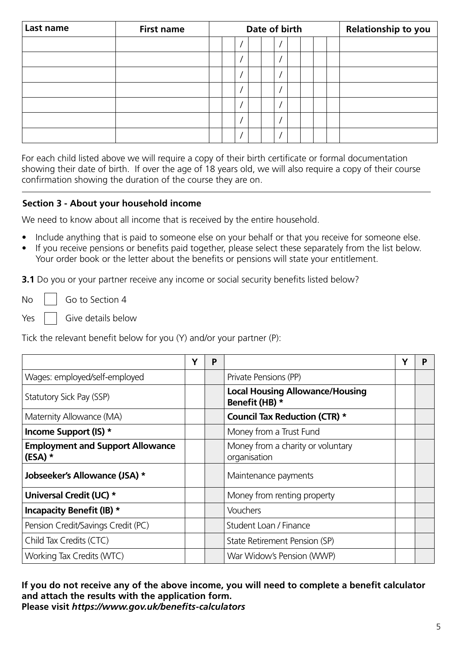| Last name | <b>First name</b> | Date of birth |  |  |  |  |  | Relationship to you |  |  |
|-----------|-------------------|---------------|--|--|--|--|--|---------------------|--|--|
|           |                   |               |  |  |  |  |  |                     |  |  |
|           |                   |               |  |  |  |  |  |                     |  |  |
|           |                   |               |  |  |  |  |  |                     |  |  |
|           |                   |               |  |  |  |  |  |                     |  |  |
|           |                   |               |  |  |  |  |  |                     |  |  |
|           |                   |               |  |  |  |  |  |                     |  |  |
|           |                   |               |  |  |  |  |  |                     |  |  |

For each child listed above we will require a copy of their birth certificate or formal documentation showing their date of birth. If over the age of 18 years old, we will also require a copy of their course confirmation showing the duration of the course they are on.

#### **Section 3 - About your household income**

We need to know about all income that is received by the entire household.

- Include anything that is paid to someone else on your behalf or that you receive for someone else.
- If you receive pensions or benefits paid together, please select these separately from the list below. Your order book or the letter about the benefits or pensions will state your entitlement.

**3.1** Do you or your partner receive any income or social security benefits listed below?

 $\overline{N}$   $\overline{N}$   $\overline{N}$  Go to Section 4

 $Yes$   $\Box$  Give details below

Tick the relevant benefit below for you (Y) and/or your partner (P):

|                                                      | P |                                                          | P |
|------------------------------------------------------|---|----------------------------------------------------------|---|
| Wages: employed/self-employed                        |   | Private Pensions (PP)                                    |   |
| Statutory Sick Pay (SSP)                             |   | <b>Local Housing Allowance/Housing</b><br>Benefit (HB) * |   |
| Maternity Allowance (MA)                             |   | <b>Council Tax Reduction (CTR) *</b>                     |   |
| Income Support (IS) *                                |   | Money from a Trust Fund                                  |   |
| <b>Employment and Support Allowance</b><br>$(ESA)$ * |   | Money from a charity or voluntary<br>organisation        |   |
| Jobseeker's Allowance (JSA) *                        |   | Maintenance payments                                     |   |
| Universal Credit (UC) *                              |   | Money from renting property                              |   |
| <b>Incapacity Benefit (IB) *</b>                     |   | Vouchers                                                 |   |
| Pension Credit/Savings Credit (PC)                   |   | Student Loan / Finance                                   |   |
| Child Tax Credits (CTC)                              |   | State Retirement Pension (SP)                            |   |
| Working Tax Credits (WTC)                            |   | War Widow's Pension (WWP)                                |   |

**If you do not receive any of the above income, you will need to complete a benefit calculator and attach the results with the application form. Please visit** *https://www.gov.uk/benefits-calculators*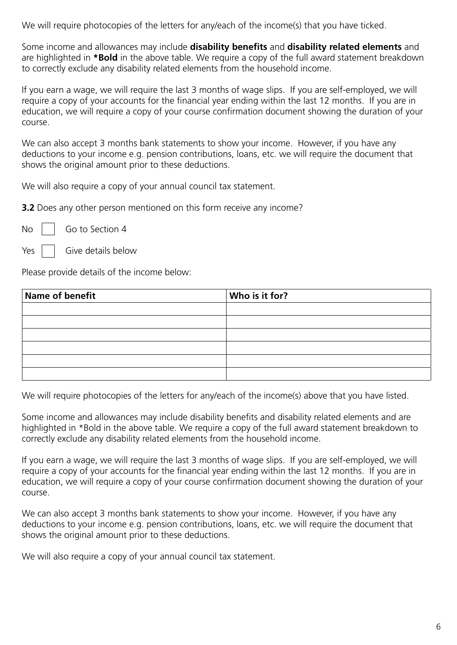We will require photocopies of the letters for any/each of the income(s) that you have ticked.

Some income and allowances may include **disability benefits** and **disability related elements** and are highlighted in **\*Bold** in the above table. We require a copy of the full award statement breakdown to correctly exclude any disability related elements from the household income.

If you earn a wage, we will require the last 3 months of wage slips. If you are self-employed, we will require a copy of your accounts for the financial year ending within the last 12 months. If you are in education, we will require a copy of your course confirmation document showing the duration of your course.

We can also accept 3 months bank statements to show your income. However, if you have any deductions to your income e.g. pension contributions, loans, etc. we will require the document that shows the original amount prior to these deductions.

We will also require a copy of your annual council tax statement.

**3.2** Does any other person mentioned on this form receive any income?

No | Go to Section 4

 $Yes$   $\parallel$  Give details below

Please provide details of the income below:

| Name of benefit | Who is it for? |
|-----------------|----------------|
|                 |                |
|                 |                |
|                 |                |
|                 |                |
|                 |                |
|                 |                |

We will require photocopies of the letters for any/each of the income(s) above that you have listed.

Some income and allowances may include disability benefits and disability related elements and are highlighted in \*Bold in the above table. We require a copy of the full award statement breakdown to correctly exclude any disability related elements from the household income.

If you earn a wage, we will require the last 3 months of wage slips. If you are self-employed, we will require a copy of your accounts for the financial year ending within the last 12 months. If you are in education, we will require a copy of your course confirmation document showing the duration of your course.

We can also accept 3 months bank statements to show your income. However, if you have any deductions to your income e.g. pension contributions, loans, etc. we will require the document that shows the original amount prior to these deductions.

We will also require a copy of your annual council tax statement.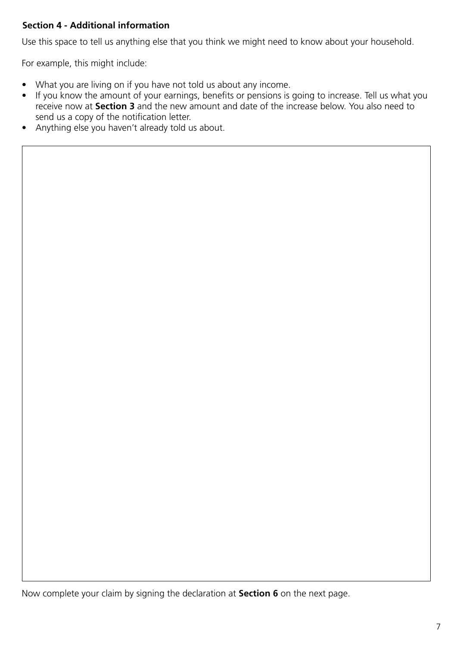## **Section 4 - Additional information**

Use this space to tell us anything else that you think we might need to know about your household.

For example, this might include:

- What you are living on if you have not told us about any income.
- If you know the amount of your earnings, benefits or pensions is going to increase. Tell us what you receive now at **Section 3** and the new amount and date of the increase below. You also need to send us a copy of the notification letter.
- Anything else you haven't already told us about.

Now complete your claim by signing the declaration at **Section 6** on the next page.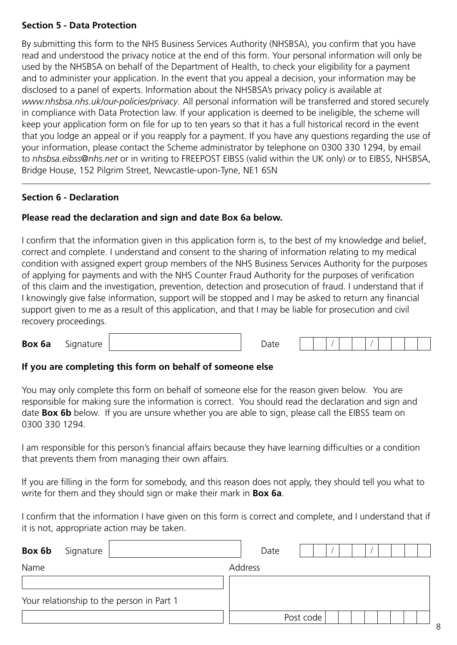#### **Section 5 - Data Protection**

By submitting this form to the NHS Business Services Authority (NHSBSA), you confirm that you have read and understood the privacy notice at the end of this form. Your personal information will only be used by the NHSBSA on behalf of the Department of Health, to check your eligibility for a payment and to administer your application. In the event that you appeal a decision, your information may be disclosed to a panel of experts. Information about the NHSBSA's privacy policy is available at *www.nhsbsa.nhs.uk/our-policies/privacy*. All personal information will be transferred and stored securely in compliance with Data Protection law. If your application is deemed to be ineligible, the scheme will keep your application form on file for up to ten years so that it has a full historical record in the event that you lodge an appeal or if you reapply for a payment. If you have any questions regarding the use of your information, please contact the Scheme administrator by telephone on 0300 330 1294, by email to *nhsbsa.eibss@nhs.net* or in writing to FREEPOST EIBSS (valid within the UK only) or to EIBSS, NHSBSA, Bridge House, 152 Pilgrim Street, Newcastle-upon-Tyne, NE1 6SN

#### **Section 6 - Declaration**

#### **Please read the declaration and sign and date Box 6a below.**

I confirm that the information given in this application form is, to the best of my knowledge and belief, correct and complete. I understand and consent to the sharing of information relating to my medical condition with assigned expert group members of the NHS Business Services Authority for the purposes of applying for payments and with the NHS Counter Fraud Authority for the purposes of verification of this claim and the investigation, prevention, detection and prosecution of fraud. I understand that if I knowingly give false information, support will be stopped and I may be asked to return any financial support given to me as a result of this application, and that I may be liable for prosecution and civil recovery proceedings.

**Box 6a** Signature **Date** 

#### **If you are completing this form on behalf of someone else**

You may only complete this form on behalf of someone else for the reason given below. You are responsible for making sure the information is correct. You should read the declaration and sign and date **Box 6b** below. If you are unsure whether you are able to sign, please call the EIBSS team on 0300 330 1294.

I am responsible for this person's financial affairs because they have learning difficulties or a condition that prevents them from managing their own affairs.

If you are filling in the form for somebody, and this reason does not apply, they should tell you what to write for them and they should sign or make their mark in **Box 6a**.

I confirm that the information I have given on this form is correct and complete, and I understand that if it is not, appropriate action may be taken.

| Box 6b | Signature |                                           | Date    |           |  |  |  |
|--------|-----------|-------------------------------------------|---------|-----------|--|--|--|
| Name   |           |                                           | Address |           |  |  |  |
|        |           |                                           |         |           |  |  |  |
|        |           | Your relationship to the person in Part 1 |         |           |  |  |  |
|        |           |                                           |         | Post code |  |  |  |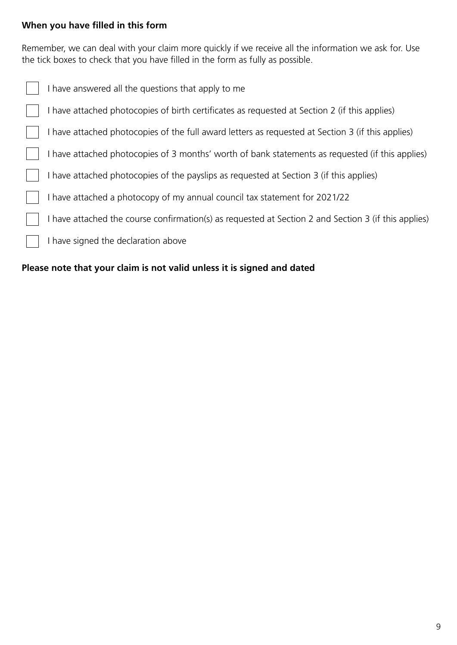## **When you have filled in this form**

Remember, we can deal with your claim more quickly if we receive all the information we ask for. Use the tick boxes to check that you have filled in the form as fully as possible.

| I have answered all the questions that apply to me                                                   |
|------------------------------------------------------------------------------------------------------|
| I have attached photocopies of birth certificates as requested at Section 2 (if this applies)        |
| I have attached photocopies of the full award letters as requested at Section 3 (if this applies)    |
| I have attached photocopies of 3 months' worth of bank statements as requested (if this applies)     |
| I have attached photocopies of the payslips as requested at Section 3 (if this applies)              |
| I have attached a photocopy of my annual council tax statement for 2021/22                           |
| I have attached the course confirmation(s) as requested at Section 2 and Section 3 (if this applies) |
| I have signed the declaration above                                                                  |
|                                                                                                      |

## **Please note that your claim is not valid unless it is signed and dated**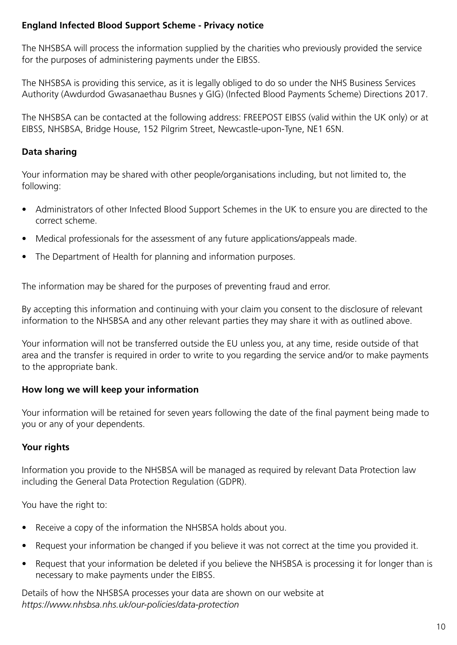## **England Infected Blood Support Scheme - Privacy notice**

The NHSBSA will process the information supplied by the charities who previously provided the service for the purposes of administering payments under the EIBSS.

The NHSBSA is providing this service, as it is legally obliged to do so under the NHS Business Services Authority (Awdurdod Gwasanaethau Busnes y GIG) (Infected Blood Payments Scheme) Directions 2017.

The NHSBSA can be contacted at the following address: FREEPOST EIBSS (valid within the UK only) or at EIBSS, NHSBSA, Bridge House, 152 Pilgrim Street, Newcastle-upon-Tyne, NE1 6SN.

## **Data sharing**

Your information may be shared with other people/organisations including, but not limited to, the following:

- Administrators of other Infected Blood Support Schemes in the UK to ensure you are directed to the correct scheme.
- Medical professionals for the assessment of any future applications/appeals made.
- The Department of Health for planning and information purposes.

The information may be shared for the purposes of preventing fraud and error.

By accepting this information and continuing with your claim you consent to the disclosure of relevant information to the NHSBSA and any other relevant parties they may share it with as outlined above.

Your information will not be transferred outside the EU unless you, at any time, reside outside of that area and the transfer is required in order to write to you regarding the service and/or to make payments to the appropriate bank.

## **How long we will keep your information**

Your information will be retained for seven years following the date of the final payment being made to you or any of your dependents.

## **Your rights**

Information you provide to the NHSBSA will be managed as required by relevant Data Protection law including the General Data Protection Regulation (GDPR).

You have the right to:

- Receive a copy of the information the NHSBSA holds about you.
- Request your information be changed if you believe it was not correct at the time you provided it.
- Request that your information be deleted if you believe the NHSBSA is processing it for longer than is necessary to make payments under the EIBSS.

Details of how the NHSBSA processes your data are shown on our website at *https://www.nhsbsa.nhs.uk/our-policies/data-protection*